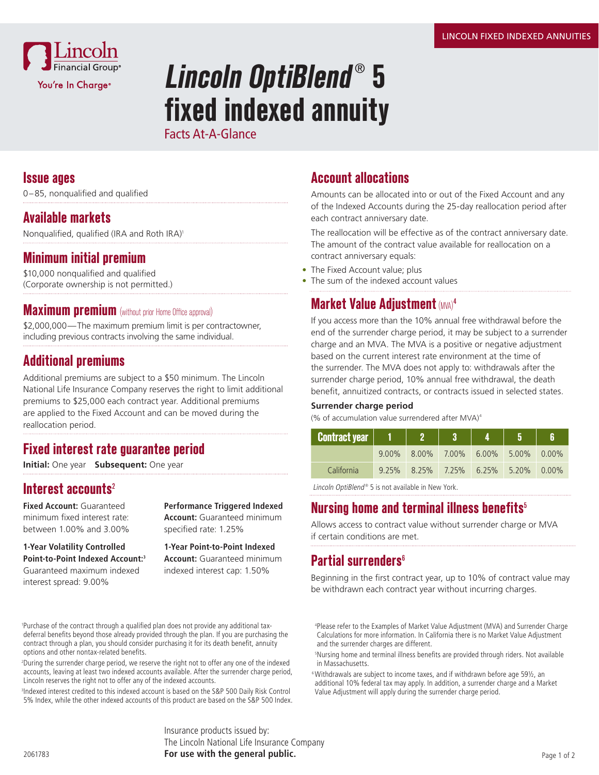

# **Lincoln OptiBlend**®  **5 fixed indexed annuity**

Facts At-A-Glance

#### **Issue ages**

0–85, nonqualified and qualified

### **Available markets**

Nonqualified, qualified (IRA and Roth IRA)<sup>1</sup>

#### **Minimum initial premium**

\$10,000 nonqualified and qualified (Corporate ownership is not permitted.)

#### **Maximum premium** (without prior Home Office approval)

\$2,000,000—The maximum premium limit is per contractowner, including previous contracts involving the same individual.

### **Additional premiums**

Additional premiums are subject to a \$50 minimum. The Lincoln National Life Insurance Company reserves the right to limit additional premiums to \$25,000 each contract year. Additional premiums are applied to the Fixed Account and can be moved during the reallocation period.

#### **Fixed interest rate guarantee period**

**Initial:** One year **Subsequent:** One year

#### **Interest accounts**<sup>2</sup>

**Fixed Account:** Guaranteed minimum fixed interest rate: between 1.00% and 3.00%

**1-Year Volatility Controlled Point-to-Point Indexed Account:3** Guaranteed maximum indexed interest spread: 9.00%

**Performance Triggered Indexed Account:** Guaranteed minimum specified rate: 1.25%

#### **1-Year Point-to-Point Indexed Account:** Guaranteed minimum indexed interest cap: 1.50%

1 Purchase of the contract through a qualified plan does not provide any additional taxdeferral benefits beyond those already provided through the plan. If you are purchasing the contract through a plan, you should consider purchasing it for its death benefit, annuity options and other nontax-related benefits.

2 During the surrender charge period, we reserve the right not to offer any one of the indexed accounts, leaving at least two indexed accounts available. After the surrender charge period, Lincoln reserves the right not to offer any of the indexed accounts.

3 Indexed interest credited to this indexed account is based on the S&P 500 Daily Risk Control 5% Index, while the other indexed accounts of this product are based on the S&P 500 Index.

> Insurance products issued by: The Lincoln National Life Insurance Company **For use with the general public.**

## **Account allocations**

Amounts can be allocated into or out of the Fixed Account and any of the Indexed Accounts during the 25-day reallocation period after each contract anniversary date.

The reallocation will be effective as of the contract anniversary date. The amount of the contract value available for reallocation on a contract anniversary equals:

- The Fixed Account value; plus
- The sum of the indexed account values

# **Market Value Adiustment** (MVA)<sup>4</sup>

If you access more than the 10% annual free withdrawal before the end of the surrender charge period, it may be subject to a surrender charge and an MVA. The MVA is a positive or negative adjustment based on the current interest rate environment at the time of the surrender. The MVA does not apply to: withdrawals after the surrender charge period, 10% annual free withdrawal, the death benefit, annuitized contracts, or contracts issued in selected states.

#### **Surrender charge period**

(% of accumulation value surrendered after MVA) $4$ 

| Contract year 1 |                                        |  |  |
|-----------------|----------------------------------------|--|--|
|                 | $9.00\%$ 8.00% 7.00% 6.00% 5.00% 0.00% |  |  |
| California      | 9.25% 8.25% 7.25% 6.25% 5.20% 0.00%    |  |  |

Lincoln OptiBlend<sup>®</sup> 5 is not available in New York.

## **Nursing home and terminal illness benefits**<sup>5</sup>

Allows access to contract value without surrender charge or MVA if certain conditions are met.

## **Partial surrenders**<sup>6</sup>

Beginning in the first contract year, up to 10% of contract value may be withdrawn each contract year without incurring charges.

4 Please refer to the Examples of Market Value Adjustment (MVA) and Surrender Charge Calculations for more information. In California there is no Market Value Adjustment and the surrender charges are different.

5 Nursing home and terminal illness benefits are provided through riders. Not available in Massachusetts.

6 Withdrawals are subject to income taxes, and if withdrawn before age 59½, an additional 10% federal tax may apply. In addition, a surrender charge and a Market Value Adjustment will apply during the surrender charge period.

2061783